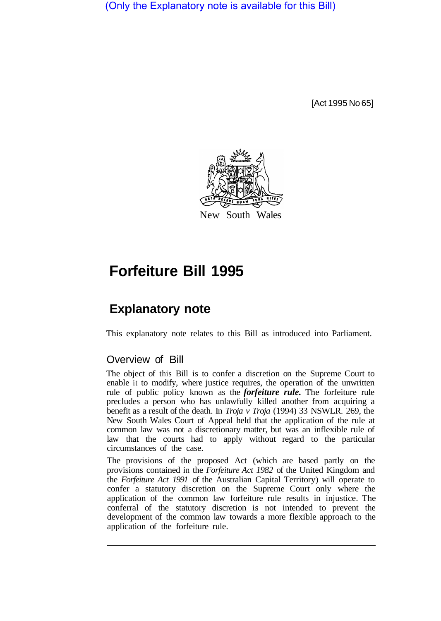(Only the Explanatory note is available for this Bill)

[Act 1995 No 65]



## **Forfeiture Bill 1995**

## **Explanatory note**

This explanatory note relates to this Bill as introduced into Parliament.

## Overview of Bill

The object of this Bill is to confer a discretion on the Supreme Court to enable it to modify, where justice requires, the operation of the unwritten rule of public policy known as the *forfeiture rule.* The forfeiture rule precludes a person who has unlawfully killed another from acquiring a benefit as a result of the death. In *Troja v Troja* (1994) 33 NSWLR. 269, the New South Wales Court of Appeal held that the application of the rule at common law was not a discretionary matter, but was an inflexible rule of law that the courts had to apply without regard to the particular circumstances of the case.

The provisions of the proposed Act (which are based partly on the provisions contained in the *Forfeiture Act 1982* of the United Kingdom and the *Forfeiture Act 1991* of the Australian Capital Territory) will operate to confer a statutory discretion on the Supreme Court only where the application of the common law forfeiture rule results in injustice. The conferral of the statutory discretion is not intended to prevent the development of the common law towards a more flexible approach to the application of the forfeiture rule.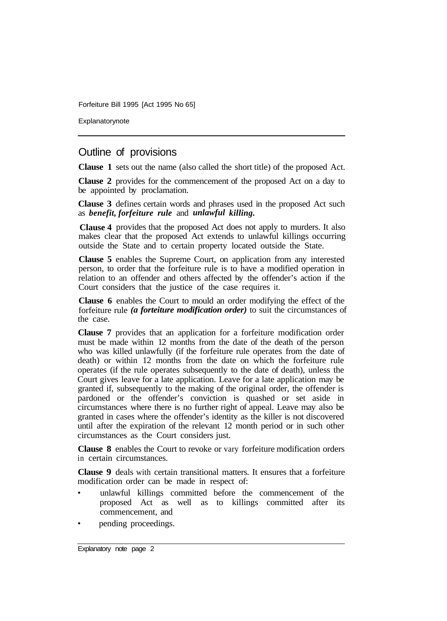Forfeiture Bill 1995 [Act 1995 No 65]

Explanatorynote

## Outline of provisions

**Clause 1** sets out the name (also called the short title) of the proposed Act.

**Clause 2** provides for the commencement of the proposed Act on a day to be appointed by proclamation.

**Clause 3** defines certain words and phrases used in the proposed Act such as *benefit, forfeiture rule* and *unlawful killing.* 

Clause 4 provides that the proposed Act does not apply to murders. It also makes clear that the proposed Act extends to unlawful killings occurring outside the State and to certain property located outside the State.

**Clause 5** enables the Supreme Court, on application from any interested person, to order that the forfeiture rule is to have a modified operation in relation to an offender and others affected by the offender's action if the Court considers that the justice of the case requires it.

**Clause 6** enables the Court to mould an order modifying the effect of the forfeiture rule *(a forteiture modification order)* to suit the circumstances of the case.

**Clause 7** provides that an application for a forfeiture modification order must be made within 12 months from the date of the death of the person who was killed unlawfully (if the forfeiture rule operates from the date of death) or within 12 months from the date on which the forfeiture rule operates (if the rule operates subsequently to the date of death), unless the Court gives leave for a late application. Leave for a late application may be granted if, subsequently to the making of the original order, the offender is pardoned or the offender's conviction is quashed or set aside in circumstances where there is no further right of appeal. Leave may also be granted in cases where the offender's identity as the killer is not discovered until after the expiration of the relevant 12 month period or in such other circumstances as the Court considers just.

**Clause 8** enables the Court to revoke or vary forfeiture modification orders in certain circumstances.

**Clause 9** deals with certain transitional matters. It ensures that a forfeiture modification order can be made in respect of:

- unlawful killings committed before the commencement of the proposed Act as well as to killings committed after its commencement, and
- pending proceedings.